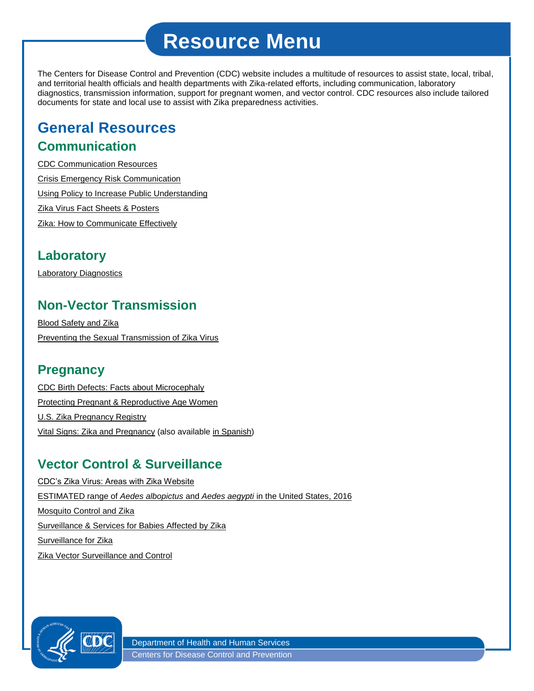# **Resource Menu**

The Centers for Disease Control and Prevention (CDC) website includes a multitude of resources to assist state, local, tribal, and territorial health officials and health departments with Zika-related efforts, including communication, laboratory diagnostics, transmission information, support for pregnant women, and vector control. CDC resources also include tailored documents for state and local use to assist with Zika preparedness activities.

## **General Resources Communication**

[CDC Communication Resources](http://www.cdc.gov/zika/comm-resources/index.html) [Crisis Emergency Risk Communication](http://www.cdc.gov/zap/pdfs/presentations/zap-crisis-emergency.pdf) [Using Policy to Increase Public Understanding](http://www.cdc.gov/zap/pdfs/presentations/zap-policy-public-understanding.pdf) [Zika Virus Fact Sheets & Posters](http://www.cdc.gov/zika/fs-posters/index.html) [Zika: How to Communicate Effectively](http://www.cdc.gov/zap/pdfs/presentations/zap-communicate-effectively.pdf)

#### **Laboratory**

[Laboratory Diagnostics](http://www.cdc.gov/zap/pdfs/presentations/zap-laboratory-diagnostics.pdf)

#### **Non-Vector Transmission**

[Blood Safety and Zika](http://www.cdc.gov/zap/pdfs/presentations/zap-blood-safety.pdf) [Preventing the Sexual Transmission of Zika Virus](http://www.cdc.gov/zap/pdfs/presentations/zap-preventing-sexual-transmission.pdf)

#### **Pregnancy**

[CDC Birth Defects: Facts about Microcephaly](http://www.cdc.gov/ncbddd/birthdefects/microcephaly.html) [Protecting Pregnant & Reproductive Age Women](http://www.cdc.gov/zap/pdfs/presentations/zap-protecting-pregnant-reproductive.pdf) [U.S. Zika Pregnancy Registry](http://www.cdc.gov/zap/pdfs/presentations/zap-pregnancy-registry.pdf) [Vital Signs: Zika and Pregnancy](http://www.cdc.gov/vitalsigns/pdf/2016-04-vitalsigns.pdf) (also available [in Spanish\)](http://www.cdc.gov/spanish/signosvitales/pdf/2016-04-vitalsigns.pdf)

### **Vector Control & Surveillance**

[CDC's Zika Virus: Areas with Zika Website](http://www.cdc.gov/zika/geo/index.html) ESTIMATED range of *Aedes albopictus* and *Aedes aegypti* [in the United States, 2016](http://www.cdc.gov/zika/pdfs/zika-mosquito-maps.pdf) [Mosquito Control and Zika](http://www.cdc.gov/zap/pdfs/presentations/zap-mosquito-control.pdf) [Surveillance & Services for Babies Affected by Zika](http://www.cdc.gov/zap/pdfs/presentations/zap-surveillance-services-babies.pdf) [Surveillance for Zika](http://www.cdc.gov/zap/pdfs/presentations/zap-surveillance-zika.pdf) [Zika Vector Surveillance and Control](http://www.cdc.gov/zika/vector/index.html)